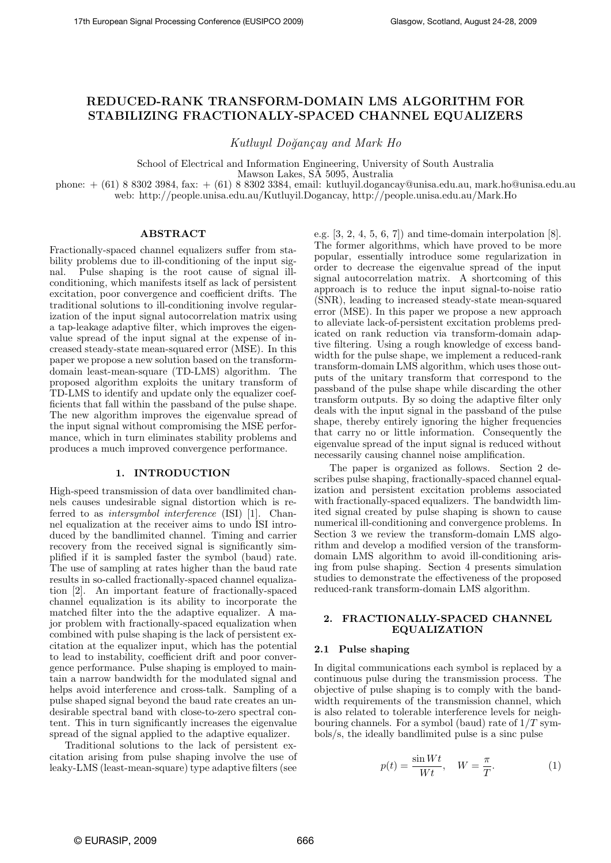# **REDUCED-RANK TRANSFORM-DOMAIN LMS ALGORITHM FOR STABILIZING FRACTIONALLY-SPACED CHANNEL EQUALIZERS**

*Kutluyıl Do˘gan¸cay and Mark Ho*

School of Electrical and Information Engineering, University of South Australia

Mawson Lakes, SA 5095, Australia

phone: + (61) 8 8302 3984, fax: + (61) 8 8302 3384, email: kutluyil.dogancay@unisa.edu.au, mark.ho@unisa.edu.au web: http://people.unisa.edu.au/Kutluyil.Dogancay, http://people.unisa.edu.au/Mark.Ho

# **ABSTRACT**

Fractionally-spaced channel equalizers suffer from stability problems due to ill-conditioning of the input signal. Pulse shaping is the root cause of signal illconditioning, which manifests itself as lack of persistent excitation, poor convergence and coefficient drifts. The traditional solutions to ill-conditioning involve regularization of the input signal autocorrelation matrix using a tap-leakage adaptive filter, which improves the eigenvalue spread of the input signal at the expense of increased steady-state mean-squared error (MSE). In this paper we propose a new solution based on the transformdomain least-mean-square (TD-LMS) algorithm. The proposed algorithm exploits the unitary transform of TD-LMS to identify and update only the equalizer coefficients that fall within the passband of the pulse shape. The new algorithm improves the eigenvalue spread of the input signal without compromising the MSE performance, which in turn eliminates stability problems and produces a much improved convergence performance.

### **1. INTRODUCTION**

High-speed transmission of data over bandlimited channels causes undesirable signal distortion which is referred to as *intersymbol interference* (ISI) [1]. Channel equalization at the receiver aims to undo ISI introduced by the bandlimited channel. Timing and carrier recovery from the received signal is significantly simplified if it is sampled faster the symbol (baud) rate. The use of sampling at rates higher than the baud rate results in so-called fractionally-spaced channel equalization [2]. An important feature of fractionally-spaced channel equalization is its ability to incorporate the matched filter into the the adaptive equalizer. A major problem with fractionally-spaced equalization when combined with pulse shaping is the lack of persistent excitation at the equalizer input, which has the potential to lead to instability, coefficient drift and poor convergence performance. Pulse shaping is employed to maintain a narrow bandwidth for the modulated signal and helps avoid interference and cross-talk. Sampling of a pulse shaped signal beyond the baud rate creates an undesirable spectral band with close-to-zero spectral content. This in turn significantly increases the eigenvalue spread of the signal applied to the adaptive equalizer.

Traditional solutions to the lack of persistent excitation arising from pulse shaping involve the use of leaky-LMS (least-mean-square) type adaptive filters (see

e.g. [3, 2, 4, 5, 6, 7]) and time-domain interpolation [8]. The former algorithms, which have proved to be more popular, essentially introduce some regularization in order to decrease the eigenvalue spread of the input signal autocorrelation matrix. A shortcoming of this approach is to reduce the input signal-to-noise ratio (SNR), leading to increased steady-state mean-squared error (MSE). In this paper we propose a new approach to alleviate lack-of-persistent excitation problems predicated on rank reduction via transform-domain adaptive filtering. Using a rough knowledge of excess bandwidth for the pulse shape, we implement a reduced-rank transform-domain LMS algorithm, which uses those outputs of the unitary transform that correspond to the passband of the pulse shape while discarding the other transform outputs. By so doing the adaptive filter only deals with the input signal in the passband of the pulse shape, thereby entirely ignoring the higher frequencies that carry no or little information. Consequently the eigenvalue spread of the input signal is reduced without necessarily causing channel noise amplification.

The paper is organized as follows. Section 2 describes pulse shaping, fractionally-spaced channel equalization and persistent excitation problems associated with fractionally-spaced equalizers. The bandwidth limited signal created by pulse shaping is shown to cause numerical ill-conditioning and convergence problems. In Section 3 we review the transform-domain LMS algorithm and develop a modified version of the transformdomain LMS algorithm to avoid ill-conditioning arising from pulse shaping. Section 4 presents simulation studies to demonstrate the effectiveness of the proposed reduced-rank transform-domain LMS algorithm.

# **2. FRACTIONALLY-SPACED CHANNEL EQUALIZATION**

#### **2.1 Pulse shaping**

In digital communications each symbol is replaced by a continuous pulse during the transmission process. The objective of pulse shaping is to comply with the bandwidth requirements of the transmission channel, which is also related to tolerable interference levels for neighbouring channels. For a symbol (baud) rate of  $1/T$  symbols/s, the ideally bandlimited pulse is a sinc pulse

$$
p(t) = \frac{\sin Wt}{Wt}, \quad W = \frac{\pi}{T}.
$$
 (1)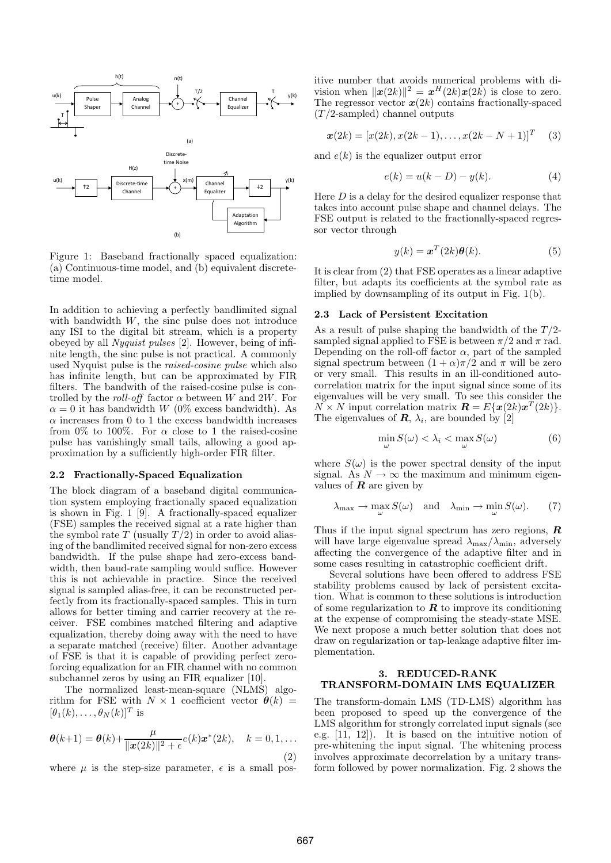

Figure 1: Baseband fractionally spaced equalization: (a) Continuous-time model, and (b) equivalent discretetime model.

In addition to achieving a perfectly bandlimited signal with bandwidth  $W$ , the sinc pulse does not introduce any ISI to the digital bit stream, which is a property obeyed by all *Nyquist pulses* [2]. However, being of infinite length, the sinc pulse is not practical. A commonly used Nyquist pulse is the *raised-cosine pulse* which also has infinite length, but can be approximated by FIR filters. The bandwith of the raised-cosine pulse is controlled by the *roll-off* factor  $\alpha$  between W and 2W. For  $\alpha = 0$  it has bandwidth W (0% excess bandwidth). As  $\alpha$  increases from 0 to 1 the excess bandwidth increases from 0% to 100%. For  $\alpha$  close to 1 the raised-cosine pulse has vanishingly small tails, allowing a good approximation by a sufficiently high-order FIR filter.

## **2.2 Fractionally-Spaced Equalization**

The block diagram of a baseband digital communication system employing fractionally spaced equalization is shown in Fig. 1 [9]. A fractionally-spaced equalizer (FSE) samples the received signal at a rate higher than the symbol rate T (usually  $T/2$ ) in order to avoid aliasing of the bandlimited received signal for non-zero excess bandwidth. If the pulse shape had zero-excess bandwidth, then baud-rate sampling would suffice. However this is not achievable in practice. Since the received signal is sampled alias-free, it can be reconstructed perfectly from its fractionally-spaced samples. This in turn allows for better timing and carrier recovery at the receiver. FSE combines matched filtering and adaptive equalization, thereby doing away with the need to have a separate matched (receive) filter. Another advantage of FSE is that it is capable of providing perfect zeroforcing equalization for an FIR channel with no common subchannel zeros by using an FIR equalizer [10].

The normalized least-mean-square (NLMS) algorithm for FSE with  $N \times 1$  coefficient vector  $\theta(k)$  =  $[\theta_1(k),\ldots,\theta_N(k)]^T$  is

$$
\boldsymbol{\theta}(k+1) = \boldsymbol{\theta}(k) + \frac{\mu}{\|\mathbf{x}(2k)\|^2 + \epsilon} e(k)\mathbf{x}^*(2k), \quad k = 0, 1, \dots
$$
\n(2)

where  $\mu$  is the step-size parameter,  $\epsilon$  is a small pos-

itive number that avoids numerical problems with division when  $\|\mathbf{x}(2k)\|^2 = \mathbf{x}^H(2k)\mathbf{x}(2k)$  is close to zero. The regressor vector  $x(2k)$  contains fractionally-spaced  $(T/2$ -sampled) channel outputs

$$
\boldsymbol{x}(2k) = [x(2k), x(2k-1), \dots, x(2k-N+1)]^T
$$
 (3)

and  $e(k)$  is the equalizer output error

$$
e(k) = u(k - D) - y(k).
$$
 (4)

Here  $D$  is a delay for the desired equalizer response that takes into account pulse shape and channel delays. The FSE output is related to the fractionally-spaced regressor vector through

$$
y(k) = \boldsymbol{x}^T(2k)\boldsymbol{\theta}(k). \tag{5}
$$

It is clear from (2) that FSE operates as a linear adaptive filter, but adapts its coefficients at the symbol rate as implied by downsampling of its output in Fig. 1(b).

## **2.3 Lack of Persistent Excitation**

As a result of pulse shaping the bandwidth of the  $T/2$ sampled signal applied to FSE is between  $\pi/2$  and  $\pi$  rad. Depending on the roll-off factor  $\alpha$ , part of the sampled signal spectrum between  $(1 + \alpha)\pi/2$  and  $\pi$  will be zero or very small. This results in an ill-conditioned autocorrelation matrix for the input signal since some of its eigenvalues will be very small. To see this consider the  $N \times N$  input correlation matrix  $\mathbf{R} = E\{\mathbf{x}(2k)\mathbf{x}^T(2k)\}.$ The eigenvalues of  $\mathbf{R}$ ,  $\lambda_i$ , are bounded by [2]

$$
\min_{\omega} S(\omega) < \lambda_i < \max_{\omega} S(\omega) \tag{6}
$$

where  $S(\omega)$  is the power spectral density of the input signal. As  $N \to \infty$  the maximum and minimum eigenvalues of *R* are given by

$$
\lambda_{\max} \to \max_{\omega} S(\omega) \quad \text{and} \quad \lambda_{\min} \to \min_{\omega} S(\omega). \tag{7}
$$

Thus if the input signal spectrum has zero regions, *R* will have large eigenvalue spread  $\lambda_{\max}/\lambda_{\min},$  adversely affecting the convergence of the adaptive filter and in some cases resulting in catastrophic coefficient drift.

Several solutions have been offered to address FSE stability problems caused by lack of persistent excitation. What is common to these solutions is introduction of some regularization to  $R$  to improve its conditioning at the expense of compromising the steady-state MSE. We next propose a much better solution that does not draw on regularization or tap-leakage adaptive filter implementation.

## **3. REDUCED-RANK TRANSFORM-DOMAIN LMS EQUALIZER**

The transform-domain LMS (TD-LMS) algorithm has been proposed to speed up the convergence of the LMS algorithm for strongly correlated input signals (see e.g. [11, 12]). It is based on the intuitive notion of pre-whitening the input signal. The whitening process involves approximate decorrelation by a unitary transform followed by power normalization. Fig. 2 shows the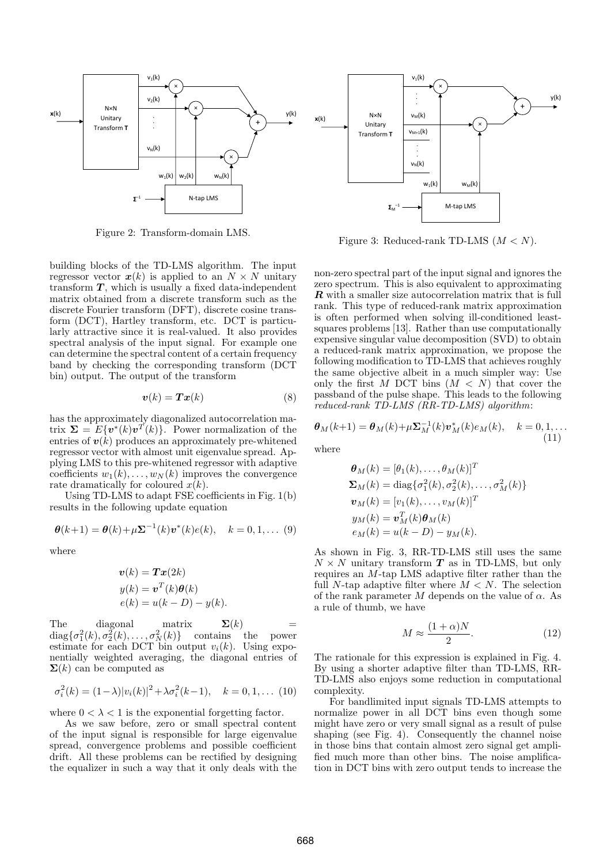

Figure 2: Transform-domain LMS.

building blocks of the TD-LMS algorithm. The input regressor vector  $x(k)$  is applied to an  $N \times N$  unitary transform **T**, which is usually a fixed data-independent matrix obtained from a discrete transform such as the discrete Fourier transform (DFT), discrete cosine transform (DCT), Hartley transform, etc. DCT is particularly attractive since it is real-valued. It also provides spectral analysis of the input signal. For example one can determine the spectral content of a certain frequency band by checking the corresponding transform (DCT bin) output. The output of the transform

$$
\mathbf{v}(k) = \mathbf{T}\mathbf{x}(k) \tag{8}
$$

has the approximately diagonalized autocorrelation matrix  $\Sigma = E\{v^*(k)v^T(k)\}$ . Power normalization of the entries of  $v(k)$  produces an approximately pre-whitened regressor vector with almost unit eigenvalue spread. Applying LMS to this pre-whitened regressor with adaptive coefficients  $w_1(k), \ldots, w_N(k)$  improves the convergence rate dramatically for coloured  $x(k)$ .

Using TD-LMS to adapt FSE coefficients in Fig. 1(b) results in the following update equation

$$
\boldsymbol{\theta}(k+1) = \boldsymbol{\theta}(k) + \mu \Sigma^{-1}(k) \boldsymbol{v}^*(k) e(k), \quad k = 0, 1, \dots (9)
$$

where

$$
\mathbf{v}(k) = \mathbf{T}\mathbf{x}(2k)
$$
  
\n
$$
y(k) = \mathbf{v}^T(k)\boldsymbol{\theta}(k)
$$
  
\n
$$
e(k) = u(k - D) - y(k).
$$

The diagonal matrix  $\Sigma(k)$  =  $diag{\{\sigma_1^2(k),\sigma_2^2(k),\ldots,\sigma_N^2(k)\}}$  contains the power estimate for each DCT bin output  $v_i(k)$ . Using exponentially weighted averaging, the diagonal entries of  $\Sigma(k)$  can be computed as

$$
\sigma_i^2(k) = (1 - \lambda)|v_i(k)|^2 + \lambda \sigma_i^2(k - 1), \quad k = 0, 1, \dots (10)
$$

where  $0 < \lambda < 1$  is the exponential forgetting factor.

As we saw before, zero or small spectral content of the input signal is responsible for large eigenvalue spread, convergence problems and possible coefficient drift. All these problems can be rectified by designing the equalizer in such a way that it only deals with the



Figure 3: Reduced-rank TD-LMS  $(M < N)$ .

non-zero spectral part of the input signal and ignores the zero spectrum. This is also equivalent to approximating *R* with a smaller size autocorrelation matrix that is full rank. This type of reduced-rank matrix approximation is often performed when solving ill-conditioned leastsquares problems [13]. Rather than use computationally expensive singular value decomposition (SVD) to obtain a reduced-rank matrix approximation, we propose the following modification to TD-LMS that achieves roughly the same objective albeit in a much simpler way: Use only the first M DCT bins  $(M < N)$  that cover the passband of the pulse shape. This leads to the following *reduced-rank TD-LMS (RR-TD-LMS) algorithm*:

$$
\boldsymbol{\theta}_{M}(k+1) = \boldsymbol{\theta}_{M}(k) + \mu \boldsymbol{\Sigma}_{M}^{-1}(k) \boldsymbol{v}_{M}^{*}(k) e_{M}(k), \quad k = 0, 1, \dots
$$
\n(11)

where

$$
\theta_M(k) = [\theta_1(k), \dots, \theta_M(k)]^T
$$
  
\n
$$
\Sigma_M(k) = \text{diag}\{\sigma_1^2(k), \sigma_2^2(k), \dots, \sigma_M^2(k)\}
$$
  
\n
$$
\boldsymbol{v}_M(k) = [v_1(k), \dots, v_M(k)]^T
$$
  
\n
$$
y_M(k) = \boldsymbol{v}_M^T(k)\boldsymbol{\theta}_M(k)
$$
  
\n
$$
e_M(k) = u(k - D) - y_M(k).
$$

As shown in Fig. 3, RR-TD-LMS still uses the same  $N \times N$  unitary transform **T** as in TD-LMS, but only requires an M-tap LMS adaptive filter rather than the full N-tap adaptive filter where  $M < N$ . The selection of the rank parameter M depends on the value of  $\alpha$ . As a rule of thumb, we have

$$
M \approx \frac{(1+\alpha)N}{2}.\tag{12}
$$

The rationale for this expression is explained in Fig. 4. By using a shorter adaptive filter than TD-LMS, RR-TD-LMS also enjoys some reduction in computational complexity.

For bandlimited input signals TD-LMS attempts to normalize power in all DCT bins even though some might have zero or very small signal as a result of pulse shaping (see Fig. 4). Consequently the channel noise in those bins that contain almost zero signal get amplified much more than other bins. The noise amplification in DCT bins with zero output tends to increase the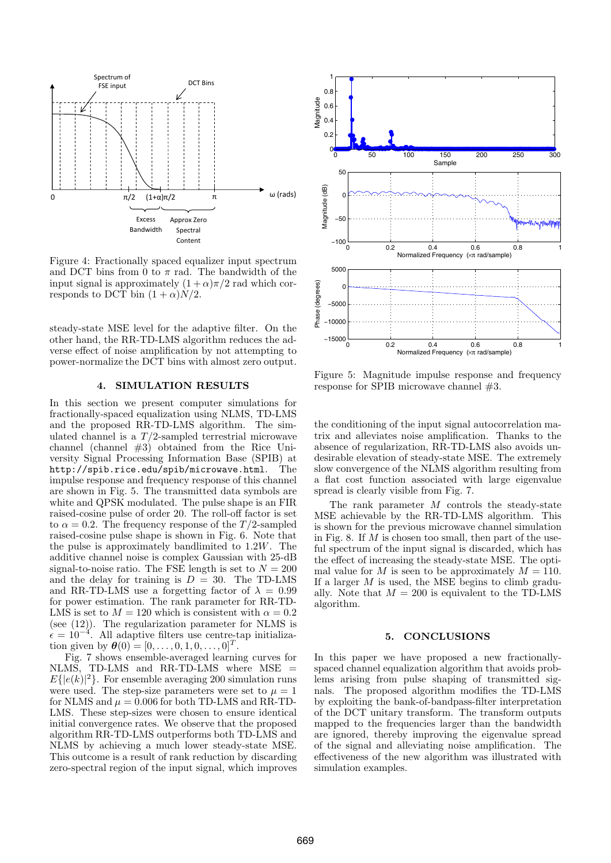

Figure 4: Fractionally spaced equalizer input spectrum and DCT bins from 0 to  $\pi$  rad. The bandwidth of the input signal is approximately  $(1 + \alpha)\pi/2$  rad which corresponds to DCT bin  $(1 + \alpha)N/2$ .

steady-state MSE level for the adaptive filter. On the other hand, the RR-TD-LMS algorithm reduces the adverse effect of noise amplification by not attempting to power-normalize the DCT bins with almost zero output.

## **4. SIMULATION RESULTS**

In this section we present computer simulations for fractionally-spaced equalization using NLMS, TD-LMS and the proposed RR-TD-LMS algorithm. The simulated channel is a  $T/2$ -sampled terrestrial microwave channel (channel #3) obtained from the Rice University Signal Processing Information Base (SPIB) at http://spib.rice.edu/spib/microwave.html. The impulse response and frequency response of this channel are shown in Fig. 5. The transmitted data symbols are white and QPSK modulated. The pulse shape is an FIR raised-cosine pulse of order 20. The roll-off factor is set to  $\alpha = 0.2$ . The frequency response of the T/2-sampled raised-cosine pulse shape is shown in Fig. 6. Note that the pulse is approximately bandlimited to 1.2W. The additive channel noise is complex Gaussian with 25-dB signal-to-noise ratio. The FSE length is set to  $N = 200$ and the delay for training is  $D = 30$ . The TD-LMS and RR-TD-LMS use a forgetting factor of  $\lambda = 0.99$ for power estimation. The rank parameter for RR-TD-LMS is set to  $M = 120$  which is consistent with  $\alpha = 0.2$ (see (12)). The regularization parameter for NLMS is  $\epsilon = 10^{-4}$ . All adaptive filters use centre-tap initialization given by  $\boldsymbol{\theta}(0) = [0, \ldots, 0, 1, 0, \ldots, 0]^T$ .

Fig. 7 shows ensemble-averaged learning curves for NLMS, TD-LMS and RR-TD-LMS where MSE =  $E\{|e(k)|^2\}$ . For ensemble averaging 200 simulation runs were used. The step-size parameters were set to  $\mu = 1$ for NLMS and  $\mu = 0.006$  for both TD-LMS and RR-TD-LMS. These step-sizes were chosen to ensure identical initial convergence rates. We observe that the proposed algorithm RR-TD-LMS outperforms both TD-LMS and NLMS by achieving a much lower steady-state MSE. This outcome is a result of rank reduction by discarding zero-spectral region of the input signal, which improves



Figure 5: Magnitude impulse response and frequency response for SPIB microwave channel #3.

the conditioning of the input signal autocorrelation matrix and alleviates noise amplification. Thanks to the absence of regularization, RR-TD-LMS also avoids undesirable elevation of steady-state MSE. The extremely slow convergence of the NLMS algorithm resulting from a flat cost function associated with large eigenvalue spread is clearly visible from Fig. 7.

The rank parameter  $M$  controls the steady-state MSE achievable by the RR-TD-LMS algorithm. This is shown for the previous microwave channel simulation in Fig. 8. If  $M$  is chosen too small, then part of the useful spectrum of the input signal is discarded, which has the effect of increasing the steady-state MSE. The optimal value for M is seen to be approximately  $M = 110$ . If a larger M is used, the MSE begins to climb gradually. Note that  $M = 200$  is equivalent to the TD-LMS algorithm.

## **5. CONCLUSIONS**

In this paper we have proposed a new fractionallyspaced channel equalization algorithm that avoids problems arising from pulse shaping of transmitted signals. The proposed algorithm modifies the TD-LMS by exploiting the bank-of-bandpass-filter interpretation of the DCT unitary transform. The transform outputs mapped to the frequencies larger than the bandwidth are ignored, thereby improving the eigenvalue spread of the signal and alleviating noise amplification. The effectiveness of the new algorithm was illustrated with simulation examples.